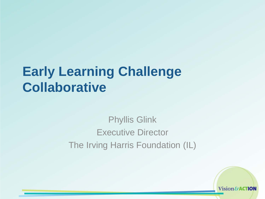### **Early Learning Challenge Collaborative**

#### Phyllis Glink Executive Director The Irving Harris Foundation (IL)

Vision&ACTION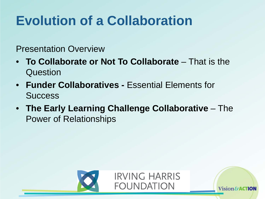# **Evolution of a Collaboration**

#### Presentation Overview

- **To Collaborate or Not To Collaborate**  That is the **Question**
- **Funder Collaboratives -** Essential Elements for **Success**
- **The Early Learning Challenge Collaborative**  The Power of Relationships



Vision&**AC**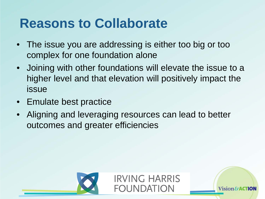### **Reasons to Collaborate**

- The issue you are addressing is either too big or too complex for one foundation alone
- Joining with other foundations will elevate the issue to a higher level and that elevation will positively impact the issue
- Emulate best practice
- Aligning and leveraging resources can lead to better outcomes and greater efficiencies



**IRVING HARRIS FOUNDATION** 

Vision $\mathcal S$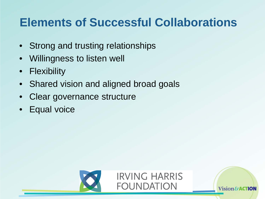#### **Elements of Successful Collaborations**

- Strong and trusting relationships
- Willingness to listen well
- Flexibility
- Shared vision and aligned broad goals
- Clear governance structure
- **Equal voice**



Vision&**AC**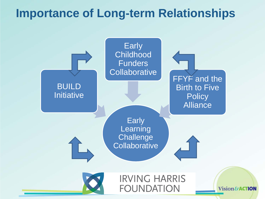#### **Importance of Long-term Relationships**

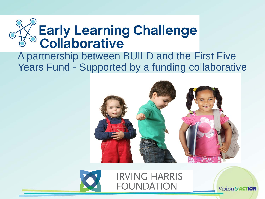

#### A partnership between BUILD and the First Five Years Fund - Supported by a funding collaborative





**IRVING HARRIS FOUNDATION** 

Vision&ACTION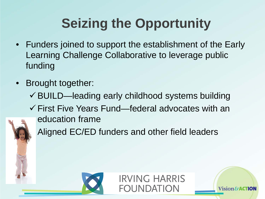# **Seizing the Opportunity**

- Funders joined to support the establishment of the Early Learning Challenge Collaborative to leverage public funding
- Brought together:
	- $\checkmark$  BUILD—leading early childhood systems building
	- $\checkmark$  First Five Years Fund—federal advocates with an education frame

**IRVING HARRIS** 

Vision&

**FOUNDATION** 



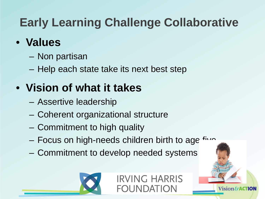### **Early Learning Challenge Collaborative**

#### • **Values**

- Non partisan
- Help each state take its next best step

### • **Vision of what it takes**

- Assertive leadership
- Coherent organizational structure
- Commitment to high quality
- Focus on high-needs children birth to age  $f^{\text{in}}$
- Commitment to develop needed systems



**IRVING HARRIS FOUNDATION** 

**Vision&**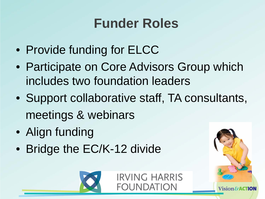## **Funder Roles**

- Provide funding for ELCC
- Participate on Core Advisors Group which includes two foundation leaders
- Support collaborative staff, TA consultants, meetings & webinars
- Align funding
- Bridge the EC/K-12 divide





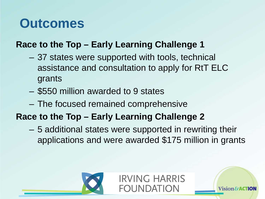### **Outcomes**

#### **Race to the Top – Early Learning Challenge 1**

- 37 states were supported with tools, technical assistance and consultation to apply for RtT ELC grants
- \$550 million awarded to 9 states
- The focused remained comprehensive

#### **Race to the Top – Early Learning Challenge 2**

– 5 additional states were supported in rewriting their applications and were awarded \$175 million in grants

**IRVING HARRIS** 

Vision&

FOUNDATION